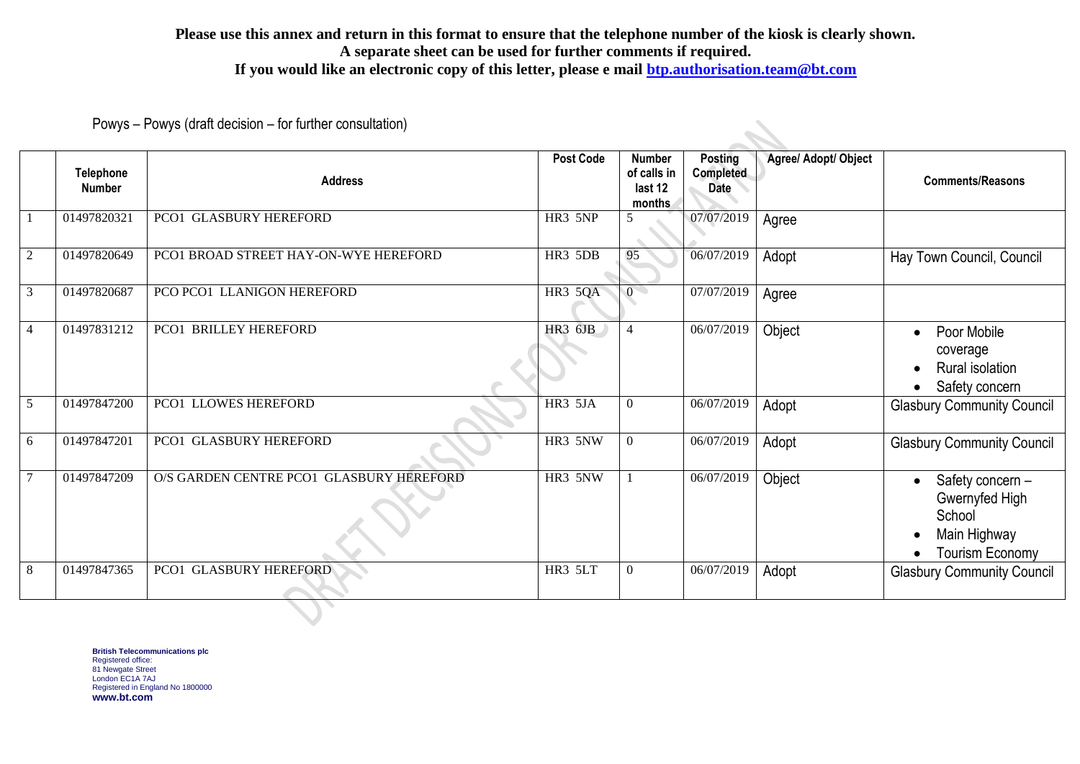## **Please use this annex and return in this format to ensure that the telephone number of the kiosk is clearly shown. A separate sheet can be used for further comments if required. If you would like an electronic copy of this letter, please e mail [btp.authorisation.team@bt.com](mailto:btp.authorisation.team@bt.com)**

Powys – Powys (draft decision – for further consultation)

|                | <b>Telephone</b><br><b>Number</b> | <b>Address</b>                           | <b>Post Code</b> | <b>Number</b><br>of calls in<br>last 12<br>months | <b>Posting</b><br>Completed<br><b>Date</b> | Agree/ Adopt/ Object | <b>Comments/Reasons</b>                                                                |
|----------------|-----------------------------------|------------------------------------------|------------------|---------------------------------------------------|--------------------------------------------|----------------------|----------------------------------------------------------------------------------------|
|                | 01497820321                       | PCO1 GLASBURY HEREFORD                   | HR3 5NP          | 5                                                 | 07/07/2019                                 | Agree                |                                                                                        |
| $\overline{2}$ | 01497820649                       | PCO1 BROAD STREET HAY-ON-WYE HEREFORD    | HR3 5DB          | 95                                                | 06/07/2019                                 | Adopt                | Hay Town Council, Council                                                              |
| 3              | 01497820687                       | PCO PCO1 LLANIGON HEREFORD               | <b>HR3 5QA</b>   | $\setminus 0$                                     | 07/07/2019                                 | Agree                |                                                                                        |
| $\overline{4}$ | 01497831212                       | PCO1 BRILLEY HEREFORD                    | <b>HR3 6JB</b>   | $\overline{4}$                                    | 06/07/2019                                 | Object               | Poor Mobile<br>coverage<br><b>Rural isolation</b><br>Safety concern                    |
| 5              | 01497847200                       | PCO1 LLOWES HEREFORD                     | HR3 5JA          | $\boldsymbol{0}$                                  | 06/07/2019                                 | Adopt                | <b>Glasbury Community Council</b>                                                      |
| 6              | 01497847201                       | PCO1 GLASBURY HEREFORD                   | HR3 5NW          | $\boldsymbol{0}$                                  | 06/07/2019                                 | Adopt                | <b>Glasbury Community Council</b>                                                      |
|                | 01497847209                       | O/S GARDEN CENTRE PCO1 GLASBURY HEREFORD | HR3 5NW          |                                                   | 06/07/2019                                 | Object               | Safety concern -<br>Gwernyfed High<br>School<br>Main Highway<br><b>Tourism Economy</b> |
| $\,8\,$        | 01497847365                       | PCO1 GLASBURY HEREFORD                   | HR3 5LT          | $\boldsymbol{0}$                                  | 06/07/2019                                 | Adopt                | <b>Glasbury Community Council</b>                                                      |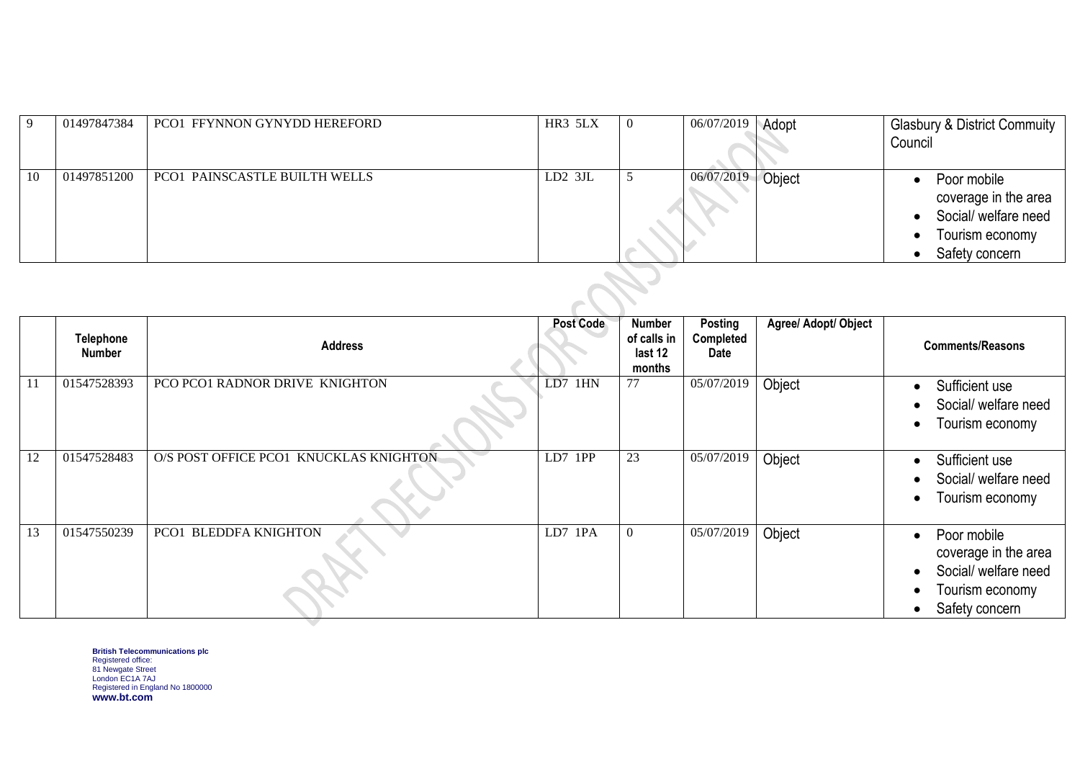| -9  | 01497847384 | PCO1 FFYNNON GYNYDD HEREFORD  | HR3 5LX       | 0 | 06/07/2019 | Adopt  | <b>Glasbury &amp; District Commuity</b><br>Council                                               |
|-----|-------------|-------------------------------|---------------|---|------------|--------|--------------------------------------------------------------------------------------------------|
| -10 | 01497851200 | PCO1 PAINSCASTLE BUILTH WELLS | $LD2$ 3JL     | C | 06/07/2019 | Object | Poor mobile<br>coverage in the area<br>Social/ welfare need<br>Tourism economy<br>Safety concern |
|     |             |                               | $\rightarrow$ |   |            |        |                                                                                                  |

|    | Telephone<br><b>Number</b> | <b>Address</b>                         | <b>Post Code</b>       | Number<br>of calls in<br>last 12<br>months | <b>Posting</b><br>Completed<br>Date | Agree/ Adopt/ Object | <b>Comments/Reasons</b>                                                                          |
|----|----------------------------|----------------------------------------|------------------------|--------------------------------------------|-------------------------------------|----------------------|--------------------------------------------------------------------------------------------------|
| 11 | 01547528393                | PCO PCO1 RADNOR DRIVE KNIGHTON         | LD7<br>1H <sub>N</sub> | 77                                         | 05/07/2019                          | Object               | Sufficient use<br>Social/ welfare need<br>Tourism economy<br>$\bullet$                           |
| 12 | 01547528483                | O/S POST OFFICE PCO1 KNUCKLAS KNIGHTON | LD7<br>1PP             | 23                                         | 05/07/2019                          | Object               | Sufficient use<br>Social/ welfare need<br>Tourism economy<br>$\bullet$                           |
| 13 | 01547550239                | PCO1 BLEDDFA KNIGHTON                  | LD7<br>1PA             | $\overline{0}$                             | 05/07/2019                          | Object               | Poor mobile<br>coverage in the area<br>Social/ welfare need<br>Tourism economy<br>Safety concern |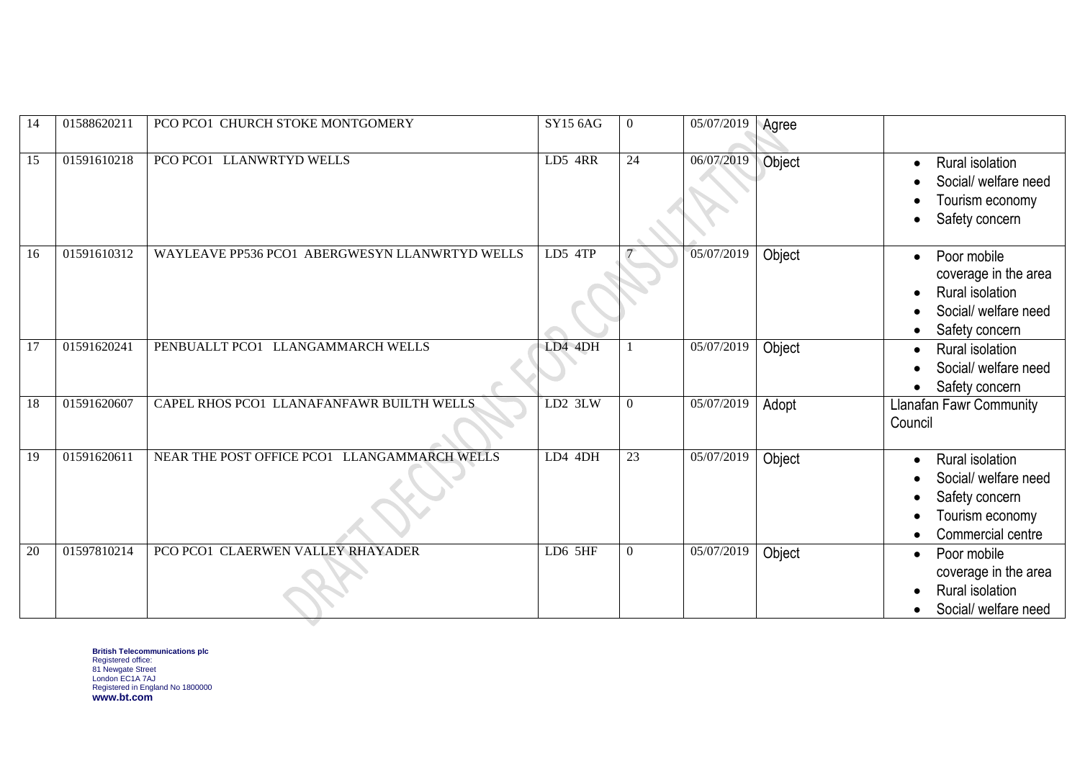| 14 | 01588620211 | PCO PCO1 CHURCH STOKE MONTGOMERY               | <b>SY15 6AG</b> | $\overline{0}$   | 05/07/2019 | Agree  |                                                                                                   |
|----|-------------|------------------------------------------------|-----------------|------------------|------------|--------|---------------------------------------------------------------------------------------------------|
| 15 | 01591610218 | PCO PCO1 LLANWRTYD WELLS                       | LD5 4RR         | 24               | 06/07/2019 | Object | Rural isolation<br>Social/ welfare need<br>Tourism economy<br>Safety concern                      |
| 16 | 01591610312 | WAYLEAVE PP536 PCO1 ABERGWESYN LLANWRTYD WELLS | $LD5$ $4TP$     |                  | 05/07/2019 | Object | Poor mobile<br>coverage in the area<br>Rural isolation<br>Social/ welfare need<br>Safety concern  |
| 17 | 01591620241 | PENBUALLT PCO1 LLANGAMMARCH WELLS              | LD4 4DH         |                  | 05/07/2019 | Object | Rural isolation<br>Social/ welfare need<br>Safety concern                                         |
| 18 | 01591620607 | CAPEL RHOS PCO1 LLANAFANFAWR BUILTH WELLS      | LD2 3LW         | $\mathbf{0}$     | 05/07/2019 | Adopt  | <b>Llanafan Fawr Community</b><br>Council                                                         |
| 19 | 01591620611 | NEAR THE POST OFFICE PCO1 LLANGAMMARCH WELLS   | LD4 4DH         | 23               | 05/07/2019 | Object | Rural isolation<br>Social/ welfare need<br>Safety concern<br>Tourism economy<br>Commercial centre |
| 20 | 01597810214 | PCO PCO1 CLAERWEN VALLEY RHAYADER              | LD6 5HF         | $\boldsymbol{0}$ | 05/07/2019 | Object | Poor mobile<br>coverage in the area<br>Rural isolation<br>Social/ welfare need                    |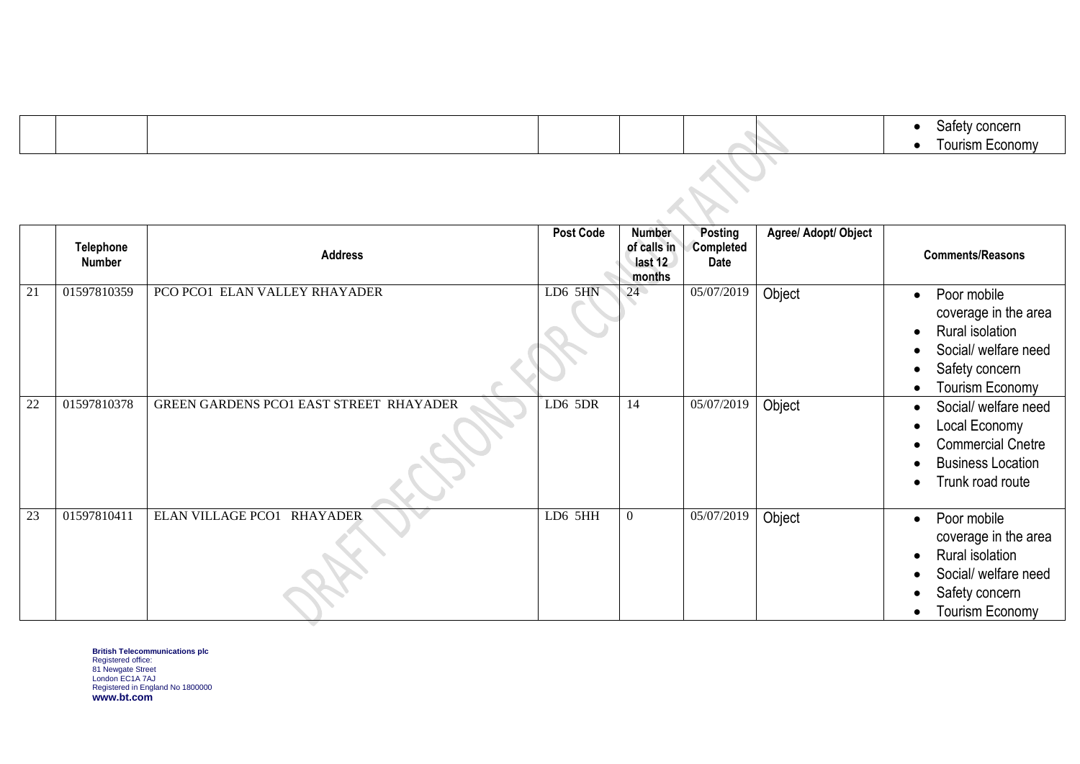|  |  | Safety concern<br>Tourism Economy |
|--|--|-----------------------------------|
|  |  |                                   |
|  |  |                                   |

|    | <b>Telephone</b><br>Number | <b>Address</b>                          | <b>Post Code</b> | <b>Number</b><br>of calls in<br>last 12<br>months | Posting<br><b>Completed</b><br>Date | Agree/ Adopt/ Object | <b>Comments/Reasons</b>                                                                                             |
|----|----------------------------|-----------------------------------------|------------------|---------------------------------------------------|-------------------------------------|----------------------|---------------------------------------------------------------------------------------------------------------------|
| 21 | 01597810359                | PCO PCO1 ELAN VALLEY RHAYADER           | LD6 5HN          | 24                                                | 05/07/2019                          | Object               | Poor mobile<br>coverage in the area<br>Rural isolation<br>Social/ welfare need<br>Safety concern<br>Tourism Economy |
| 22 | 01597810378                | GREEN GARDENS PCO1 EAST STREET RHAYADER | LD6 5DR          | 14                                                | 05/07/2019                          | Object               | Social/ welfare need<br>Local Economy<br><b>Commercial Cnetre</b><br><b>Business Location</b><br>Trunk road route   |
| 23 | 01597810411                | ELAN VILLAGE PCO1 RHAYADER              | LD6 5HH          | $\overline{0}$                                    | 05/07/2019                          | Object               | Poor mobile<br>coverage in the area<br>Rural isolation<br>Social/ welfare need<br>Safety concern<br>Tourism Economy |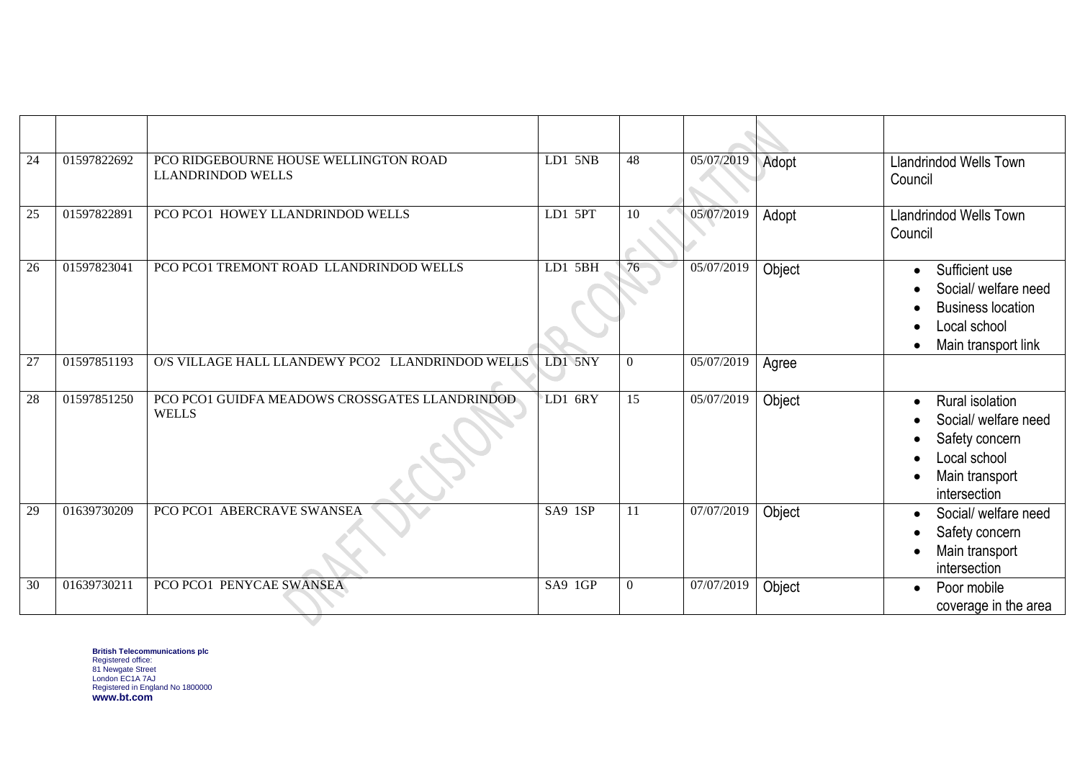| 24              | 01597822692 | PCO RIDGEBOURNE HOUSE WELLINGTON ROAD<br><b>LLANDRINDOD WELLS</b> | LD1 5NB   | 48               | 05/07/2019          | Adopt  | <b>Llandrindod Wells Town</b><br>Council                                                                    |
|-----------------|-------------|-------------------------------------------------------------------|-----------|------------------|---------------------|--------|-------------------------------------------------------------------------------------------------------------|
| 25              | 01597822891 | PCO PCO1 HOWEY LLANDRINDOD WELLS                                  | LD1 5PT   | 10               | 05/07/2019          | Adopt  | <b>Llandrindod Wells Town</b><br>Council                                                                    |
| 26              | 01597823041 | PCO PCO1 TREMONT ROAD LLANDRINDOD WELLS                           | $LD1$ 5BH | 76               | 05/07/2019          | Object | Sufficient use<br>Social/ welfare need<br><b>Business location</b><br>Local school<br>Main transport link   |
| 27              | 01597851193 | O/S VILLAGE HALL LLANDEWY PCO2 LLANDRINDOD WELLS                  | LD1 5NY   | $\boldsymbol{0}$ | 05/07/2019          | Agree  |                                                                                                             |
| $\overline{28}$ | 01597851250 | PCO PCO1 GUIDFA MEADOWS CROSSGATES LLANDRINDOD<br><b>WELLS</b>    | LD1 6RY   | $\overline{15}$  | 05/07/2019          | Object | Rural isolation<br>Social/ welfare need<br>Safety concern<br>Local school<br>Main transport<br>intersection |
| 29              | 01639730209 | PCO PCO1 ABERCRAVE SWANSEA                                        | $SA9$ 1SP | 11               | 07/07/2019          | Object | Social/ welfare need<br>Safety concern<br>Main transport<br>intersection                                    |
| 30              | 01639730211 | PCO PCO1 PENYCAE SWANSEA                                          | SA9 1GP   | $\mathbf{0}$     | $\sqrt{07/07}/2019$ | Object | Poor mobile<br>$\bullet$<br>coverage in the area                                                            |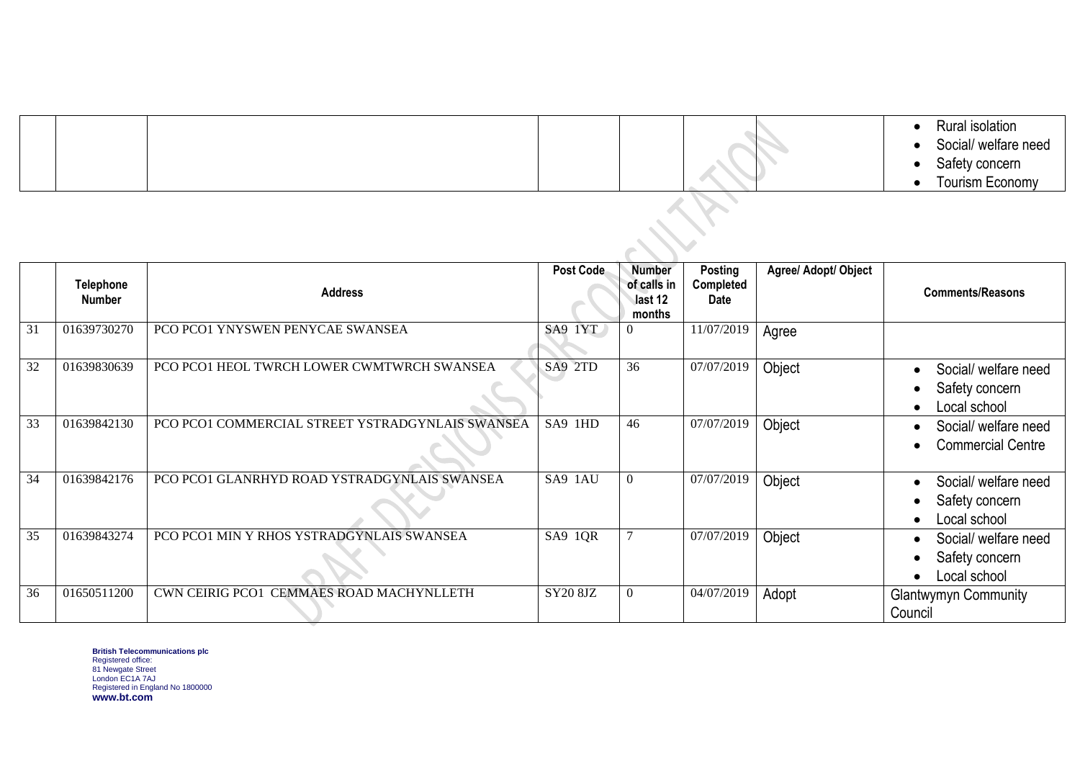|  |  | Rural isolation<br>Social/ welfare need<br>Safety concern |
|--|--|-----------------------------------------------------------|
|  |  | Tourism Economy                                           |

|    | <b>Telephone</b><br><b>Number</b> | <b>Address</b>                                   | Post Code | <b>Number</b><br>of calls in<br>last 12<br>months | <b>Posting</b><br>Completed<br>Date | Agree/ Adopt/ Object | <b>Comments/Reasons</b>                                |
|----|-----------------------------------|--------------------------------------------------|-----------|---------------------------------------------------|-------------------------------------|----------------------|--------------------------------------------------------|
| 31 | 01639730270                       | PCO PCO1 YNYSWEN PENYCAE SWANSEA                 | SA9 1YT   | $\Omega$                                          | 11/07/2019                          | Agree                |                                                        |
| 32 | 01639830639                       | PCO PCO1 HEOL TWRCH LOWER CWMTWRCH SWANSEA       | SA9 2TD   | 36                                                | 07/07/2019                          | Object               | Social/ welfare need<br>Safety concern<br>Local school |
| 33 | 01639842130                       | PCO PCO1 COMMERCIAL STREET YSTRADGYNLAIS SWANSEA | SA9 1HD   | 46                                                | 07/07/2019                          | Object               | Social/ welfare need<br><b>Commercial Centre</b>       |
| 34 | 01639842176                       | PCO PCO1 GLANRHYD ROAD YSTRADGYNLAIS SWANSEA     | SA9 1AU   | $\mathbf{0}$                                      | 07/07/2019                          | Object               | Social/ welfare need<br>Safety concern<br>Local school |
| 35 | 01639843274                       | PCO PCO1 MIN Y RHOS YSTRADGYNLAIS SWANSEA        | SA9 1QR   |                                                   | 07/07/2019                          | Object               | Social/ welfare need<br>Safety concern<br>Local school |
| 36 | 01650511200                       | CWN CEIRIG PCO1 CEMMAES ROAD MACHYNLLETH         | SY20 8JZ  | $\mathbf{0}$                                      | 04/07/2019                          | Adopt                | <b>Glantwymyn Community</b><br>Council                 |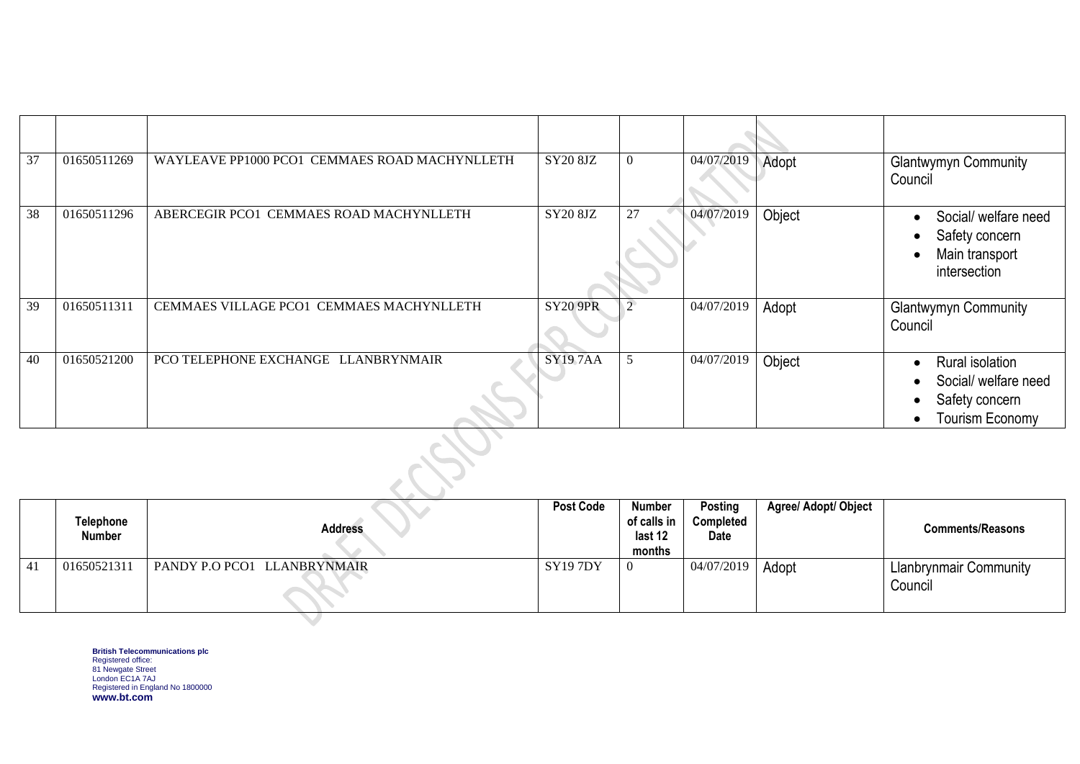| 37 | 01650511269 | WAYLEAVE PP1000 PCO1 CEMMAES ROAD MACHYNLLETH   | SY20 8JZ        | $\overline{0}$ | 04/07/2019 | Adopt  | <b>Glantwymyn Community</b><br>Council                                              |  |  |
|----|-------------|-------------------------------------------------|-----------------|----------------|------------|--------|-------------------------------------------------------------------------------------|--|--|
| 38 | 01650511296 | ABERCEGIR PCO1 CEMMAES ROAD MACHYNLLETH         | SY20 8JZ        | 27             | 04/07/2019 | Object | Social/ welfare need<br>Safety concern<br>Main transport<br>intersection            |  |  |
| 39 | 01650511311 | <b>CEMMAES VILLAGE PCO1 CEMMAES MACHYNLLETH</b> | <b>SY20 9PR</b> | $\overline{2}$ | 04/07/2019 | Adopt  | <b>Glantwymyn Community</b><br>Council                                              |  |  |
| 40 | 01650521200 | PCO TELEPHONE EXCHANGE LLANBRYNMAIR             | <b>SY197AA</b>  | 5              | 04/07/2019 | Object | Rural isolation<br>Social/ welfare need<br>Safety concern<br><b>Tourism Economy</b> |  |  |
|    |             |                                                 |                 |                |            |        |                                                                                     |  |  |

|    | <b>Number</b> | <b>Address</b>              |          | of calls in<br>last 12<br>months | Completed<br>Date |       | <b>Comments/Reasons</b>                  |
|----|---------------|-----------------------------|----------|----------------------------------|-------------------|-------|------------------------------------------|
| 41 | 01650521311   | PANDY P.O PCO1 LLANBRYNMAIR | SY19 7DY | -0                               | 04/07/2019        | Adopt | <b>Llanbrynmair Community</b><br>Council |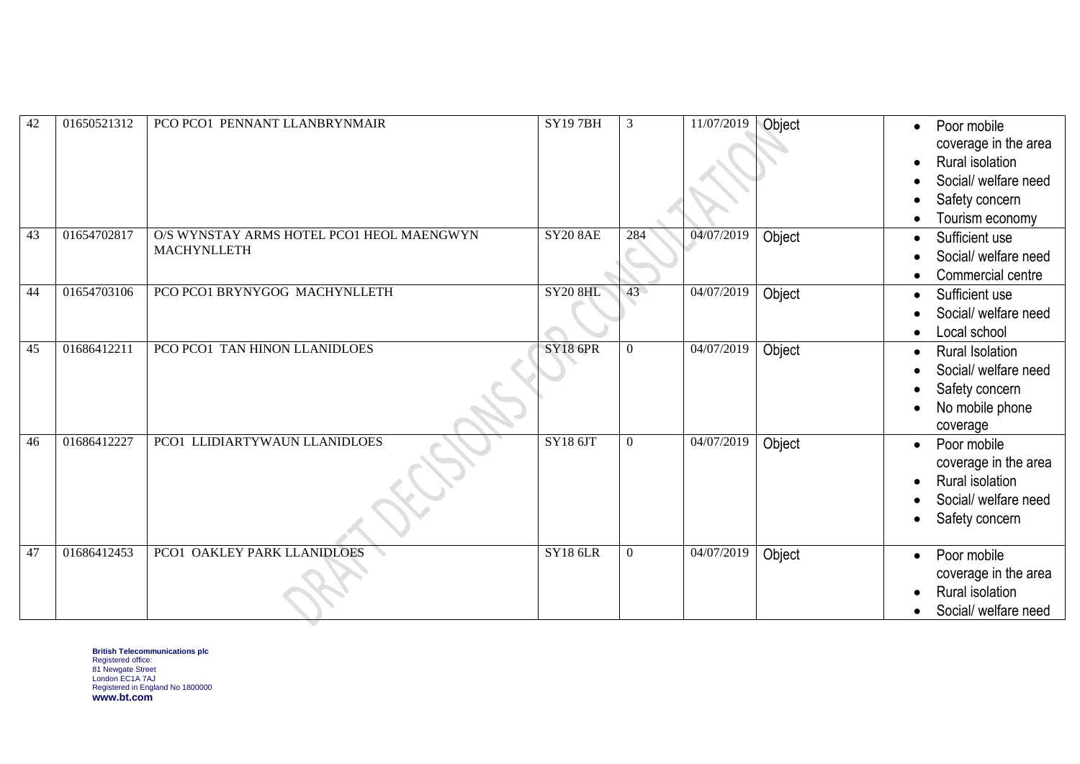| 42 | 01650521312 | PCO PCO1 PENNANT LLANBRYNMAIR                                   | <b>SY197BH</b>  | $\overline{3}$   | 11/07/2019           | Object | Poor mobile<br>$\bullet$<br>coverage in the area<br>Rural isolation<br>Social/ welfare need<br>Safety concern<br>Tourism economy |
|----|-------------|-----------------------------------------------------------------|-----------------|------------------|----------------------|--------|----------------------------------------------------------------------------------------------------------------------------------|
| 43 | 01654702817 | O/S WYNSTAY ARMS HOTEL PCO1 HEOL MAENGWYN<br><b>MACHYNLLETH</b> | <b>SY20 8AE</b> | 284              | 04/07/2019           | Object | Sufficient use<br>$\bullet$<br>Social/ welfare need<br>Commercial centre                                                         |
| 44 | 01654703106 | PCO PCO1 BRYNYGOG MACHYNLLETH                                   | <b>SY20 8HL</b> | 43               | 04/07/2019           | Object | Sufficient use<br>Social/ welfare need<br>Local school                                                                           |
| 45 | 01686412211 | PCO PCO1 TAN HINON LLANIDLOES                                   | <b>SY18 6PR</b> | $\theta$         | 04/07/2019           | Object | <b>Rural Isolation</b><br>Social/ welfare need<br>Safety concern<br>No mobile phone<br>coverage                                  |
| 46 | 01686412227 | PCO1 LLIDIARTYWAUN LLANIDLOES                                   | SY186JT         | $\overline{0}$   | $\frac{04}{07}/2019$ | Object | Poor mobile<br>coverage in the area<br>Rural isolation<br>Social/ welfare need<br>Safety concern                                 |
| 47 | 01686412453 | PCO1 OAKLEY PARK LLANIDLOES                                     | <b>SY18 6LR</b> | $\boldsymbol{0}$ | 04/07/2019           | Object | Poor mobile<br>$\bullet$<br>coverage in the area<br>Rural isolation<br>$\bullet$<br>Social/ welfare need                         |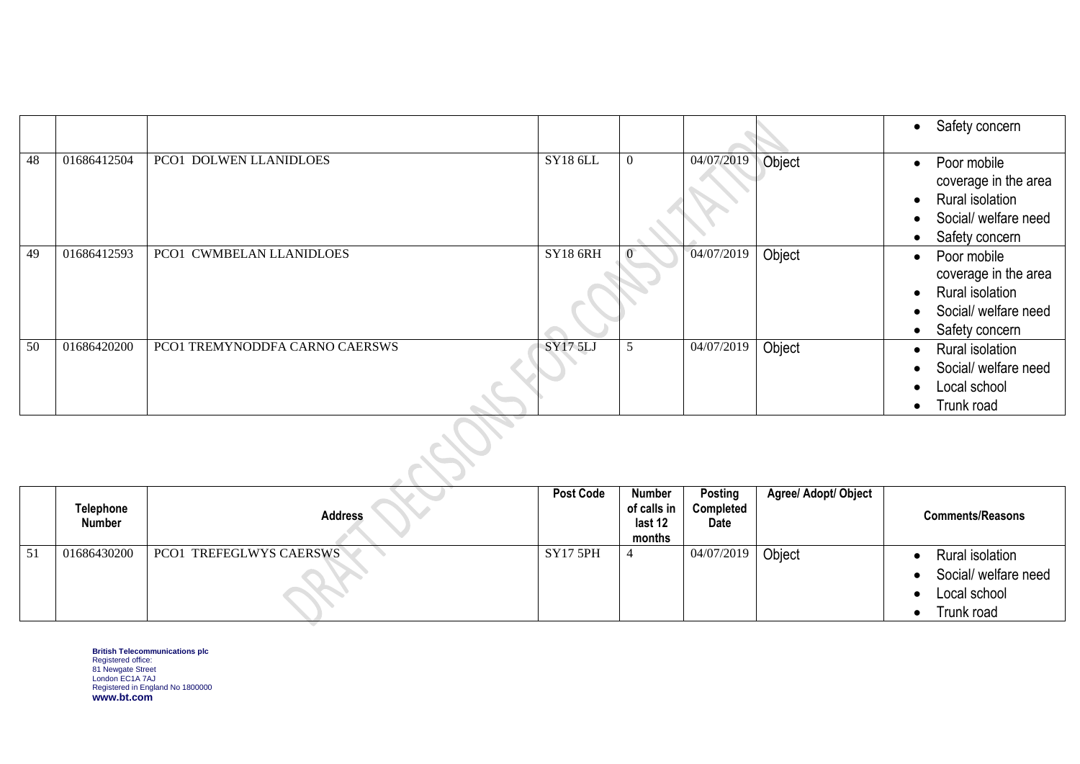|    |             |                                |                 |                |            |        | Safety concern<br>$\bullet$                                                                                          |
|----|-------------|--------------------------------|-----------------|----------------|------------|--------|----------------------------------------------------------------------------------------------------------------------|
| 48 | 01686412504 | PCO1 DOLWEN LLANIDLOES         | <b>SY18 6LL</b> | $\overline{0}$ | 04/07/2019 | Object | Poor mobile<br>$\bullet$<br>coverage in the area<br>Rural isolation<br>Social/ welfare need<br>Safety concern        |
| 49 | 01686412593 | PCO1 CWMBELAN LLANIDLOES       | <b>SY18 6RH</b> |                | 04/07/2019 | Object | Poor mobile<br>$\bullet$<br>coverage in the area<br><b>Rural isolation</b><br>Social/ welfare need<br>Safety concern |
| 50 | 01686420200 | PCO1 TREMYNODDFA CARNO CAERSWS | <b>SY17 5LJ</b> | 5              | 04/07/2019 | Object | Rural isolation<br>$\bullet$<br>Social/ welfare need<br>Local school<br>Trunk road                                   |
|    |             |                                |                 |                |            |        |                                                                                                                      |

|    | Telephone<br><b>Number</b> | <b>Address</b>                 | <b>Post Code</b> | Number<br>of calls in<br>last 12<br>months | Posting<br>Completed<br><b>Date</b> | <b>Agree/ Adopt/ Object</b> | <b>Comments/Reasons</b>                                               |
|----|----------------------------|--------------------------------|------------------|--------------------------------------------|-------------------------------------|-----------------------------|-----------------------------------------------------------------------|
| 51 | 01686430200                | <b>PCO1 TREFEGLWYS CAERSWS</b> | <b>SY17 5PH</b>  |                                            | 04/07/2019                          | Object                      | Rural isolation<br>Social/ welfare need<br>Local school<br>Trunk road |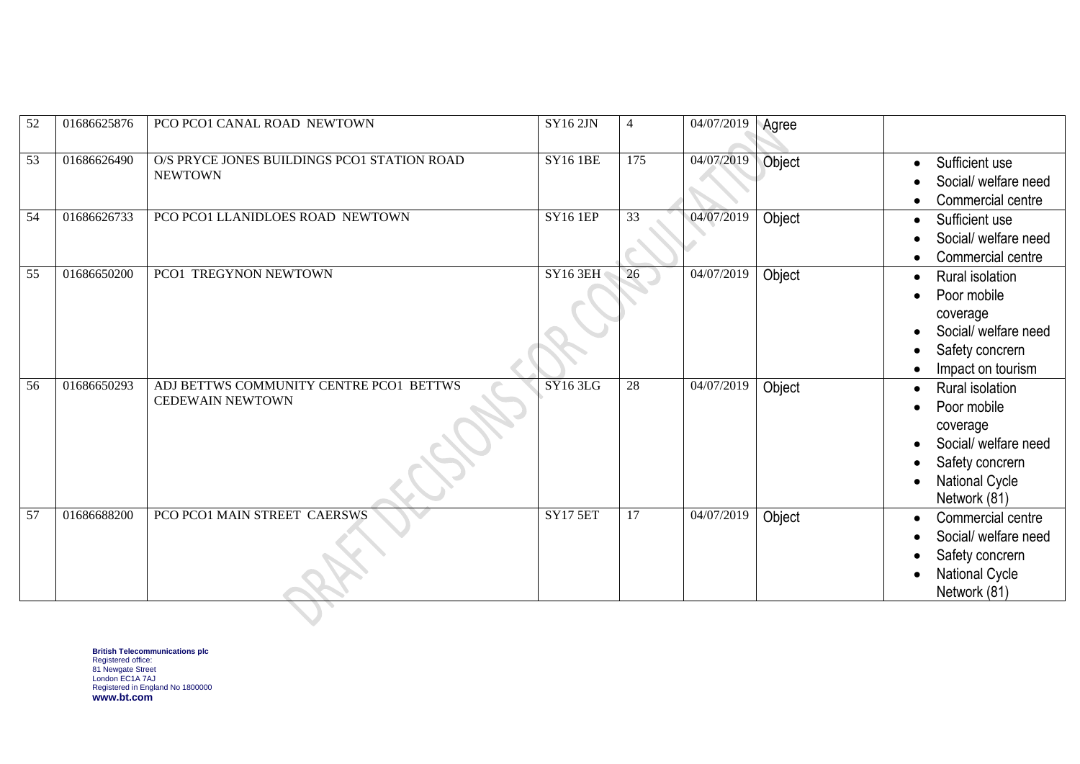| 52              | 01686625876 | PCO PCO1 CANAL ROAD NEWTOWN                                        | <b>SY162JN</b>       | $\overline{4}$  | 04/07/2019 | Agree  |                                                                                                                                |
|-----------------|-------------|--------------------------------------------------------------------|----------------------|-----------------|------------|--------|--------------------------------------------------------------------------------------------------------------------------------|
| 53              | 01686626490 | O/S PRYCE JONES BUILDINGS PCO1 STATION ROAD<br><b>NEWTOWN</b>      | <b>SY16 1BE</b>      | 175             | 04/07/2019 | Object | Sufficient use<br>Social/ welfare need<br>Commercial centre                                                                    |
| $\overline{54}$ | 01686626733 | PCO PCO1 LLANIDLOES ROAD NEWTOWN                                   | <b>SY16 1EP</b>      | 33              | 04/07/2019 | Object | Sufficient use<br>Social/ welfare need<br>Commercial centre                                                                    |
| 55              | 01686650200 | PCO1 TREGYNON NEWTOWN                                              | <b>SY16 3EH</b>      | 26              | 04/07/2019 | Object | Rural isolation<br>Poor mobile<br>coverage<br>Social/ welfare need<br>Safety concrern<br>Impact on tourism                     |
| 56              | 01686650293 | ADJ BETTWS COMMUNITY CENTRE PCO1 BETTWS<br><b>CEDEWAIN NEWTOWN</b> | S <sub>Y</sub> 163LG | 28              | 04/07/2019 | Object | Rural isolation<br>Poor mobile<br>coverage<br>Social/ welfare need<br>Safety concrern<br><b>National Cycle</b><br>Network (81) |
| 57              | 01686688200 | PCO PCO1 MAIN STREET CAERSWS                                       | <b>SY17 5ET</b>      | $\overline{17}$ | 04/07/2019 | Object | Commercial centre<br>Social/ welfare need<br>Safety concrern<br>National Cycle<br>Network (81)                                 |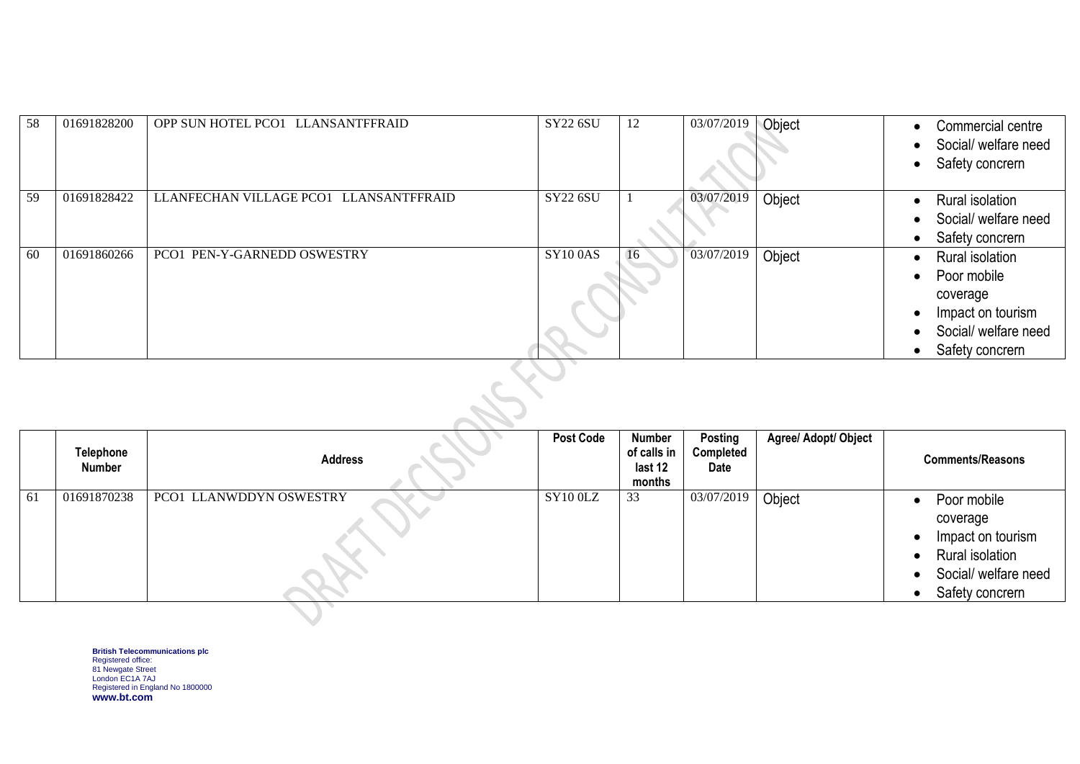| 58  | 01691828200 | OPP SUN HOTEL PCO1 LLANSANTFFRAID      | <b>SY22 6SU</b> | 12 | 03/07/2019 | Object | Commercial centre<br>Social/ welfare need<br>Safety concrern                                               |
|-----|-------------|----------------------------------------|-----------------|----|------------|--------|------------------------------------------------------------------------------------------------------------|
| 59  | 01691828422 | LLANFECHAN VILLAGE PCO1 LLANSANTFFRAID | <b>SY22 6SU</b> |    | 03/07/2019 | Object | Rural isolation<br>Social/ welfare need<br>Safety concrern                                                 |
| -60 | 01691860266 | PCO1 PEN-Y-GARNEDD OSWESTRY            | <b>SY100AS</b>  | 16 | 03/07/2019 | Object | Rural isolation<br>Poor mobile<br>coverage<br>Impact on tourism<br>Social/ welfare need<br>Safety concrern |

|    | Telephone<br>Number | <b>Address</b>          | <b>Post Code</b> | Number<br>of calls in<br>last 12<br>months | Posting<br>Completed<br>Date | Agree/ Adopt/ Object | <b>Comments/Reasons</b>                                                                                    |
|----|---------------------|-------------------------|------------------|--------------------------------------------|------------------------------|----------------------|------------------------------------------------------------------------------------------------------------|
| 61 | 01691870238         | PCO1 LLANWDDYN OSWESTRY | SY10 0LZ         | 33                                         | 03/07/2019                   | Object               | Poor mobile<br>coverage<br>Impact on tourism<br>Rural isolation<br>Social/ welfare need<br>Safety concrern |
|    |                     |                         |                  |                                            |                              |                      |                                                                                                            |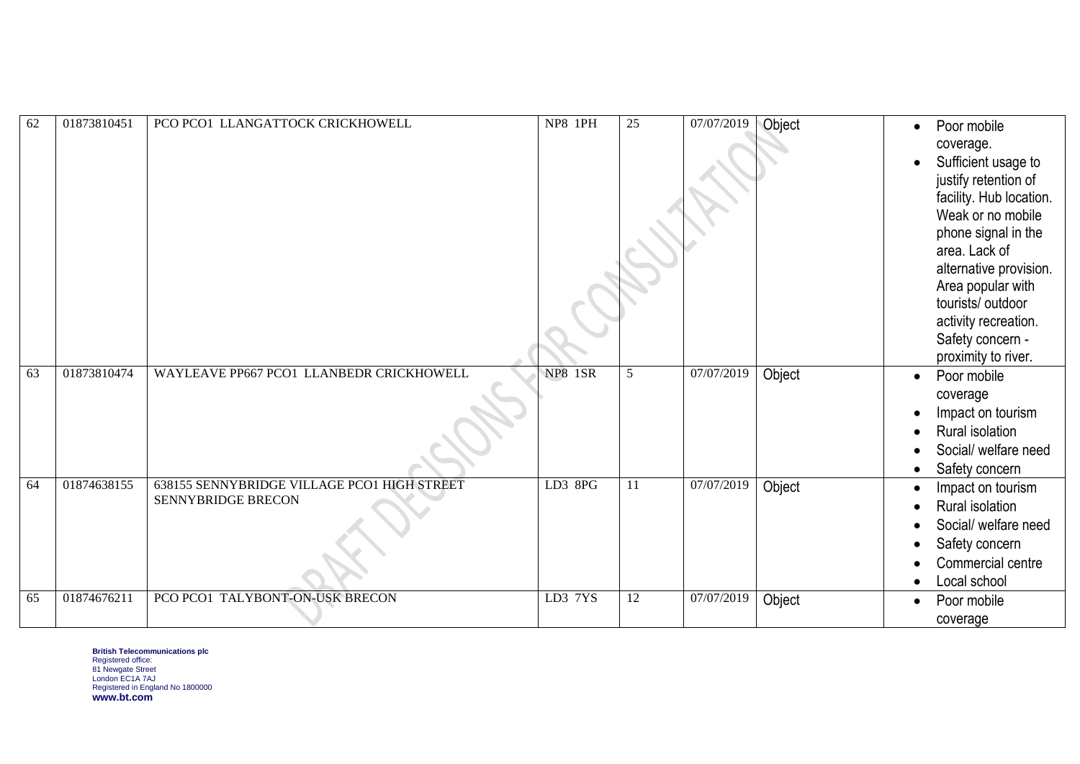| 62 | 01873810451 | PCO PCO1 LLANGATTOCK CRICKHOWELL                                  | NP8 1PH        | 25              | 07/07/2019            | Object | Poor mobile<br>coverage.<br>Sufficient usage to<br>justify retention of<br>facility. Hub location.<br>Weak or no mobile<br>phone signal in the<br>area. Lack of<br>alternative provision.<br>Area popular with<br>tourists/ outdoor<br>activity recreation.<br>Safety concern -<br>proximity to river. |
|----|-------------|-------------------------------------------------------------------|----------------|-----------------|-----------------------|--------|--------------------------------------------------------------------------------------------------------------------------------------------------------------------------------------------------------------------------------------------------------------------------------------------------------|
| 63 | 01873810474 | WAYLEAVE PP667 PCO1 LLANBEDR CRICKHOWELL                          | <b>NP8 1SR</b> | 5               | 07/07/2019            | Object | Poor mobile<br>$\bullet$<br>coverage<br>Impact on tourism<br>Rural isolation<br>Social/ welfare need<br>Safety concern<br>$\bullet$                                                                                                                                                                    |
| 64 | 01874638155 | 638155 SENNYBRIDGE VILLAGE PCO1 HIGH STREET<br>SENNYBRIDGE BRECON | LD3 8PG        | 11              | 07/07/2019            | Object | Impact on tourism<br>Rural isolation<br>Social/ welfare need<br>Safety concern<br>Commercial centre<br>Local school                                                                                                                                                                                    |
| 65 | 01874676211 | PCO PCO1 TALYBONT-ON-USK BRECON                                   | LD3 7YS        | $\overline{12}$ | $\frac{07}{07}{2019}$ | Object | Poor mobile<br>coverage                                                                                                                                                                                                                                                                                |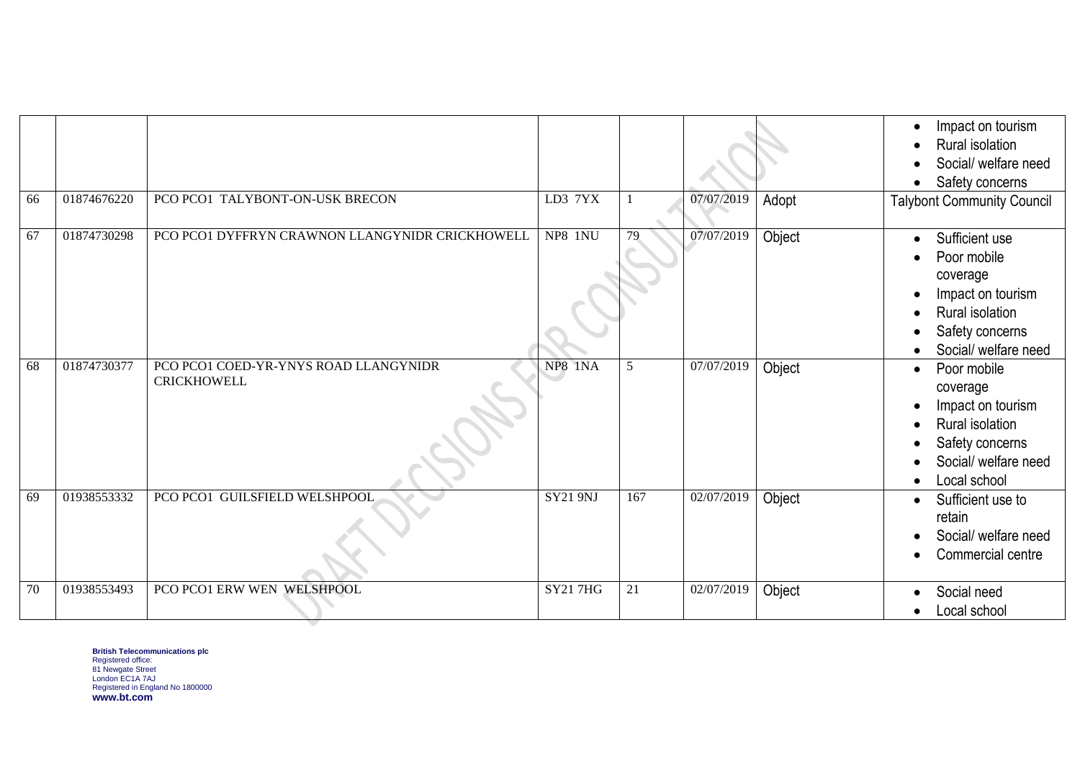| 66 | 01874676220 | PCO PCO1 TALYBONT-ON-USK BRECON                             | LD3 7YX         |     | 07/07/2019 | Adopt  | Impact on tourism<br>$\bullet$<br>Rural isolation<br>Social/ welfare need<br>Safety concerns<br><b>Talybont Community Council</b>                    |
|----|-------------|-------------------------------------------------------------|-----------------|-----|------------|--------|------------------------------------------------------------------------------------------------------------------------------------------------------|
| 67 | 01874730298 | PCO PCO1 DYFFRYN CRAWNON LLANGYNIDR CRICKHOWELL             | NP8 1NU         | 79  | 07/07/2019 | Object | Sufficient use<br>$\bullet$<br>Poor mobile<br>coverage<br>Impact on tourism<br>Rural isolation<br>Safety concerns<br>Social/ welfare need            |
| 68 | 01874730377 | PCO PCO1 COED-YR-YNYS ROAD LLANGYNIDR<br><b>CRICKHOWELL</b> | NP8 1NA         | 5   | 07/07/2019 | Object | Poor mobile<br>$\bullet$<br>coverage<br>Impact on tourism<br>Rural isolation<br>Safety concerns<br>Social/ welfare need<br>Local school<br>$\bullet$ |
| 69 | 01938553332 | PCO PCO1 GUILSFIELD WELSHPOOL                               | <b>SY21 9NJ</b> | 167 | 02/07/2019 | Object | Sufficient use to<br>$\bullet$<br>retain<br>Social/ welfare need<br>Commercial centre                                                                |
| 70 | 01938553493 | PCO PCO1 ERW WEN WELSHPOOL                                  | <b>SY217HG</b>  | 21  | 02/07/2019 | Object | Social need<br>$\bullet$<br>Local school<br>$\bullet$                                                                                                |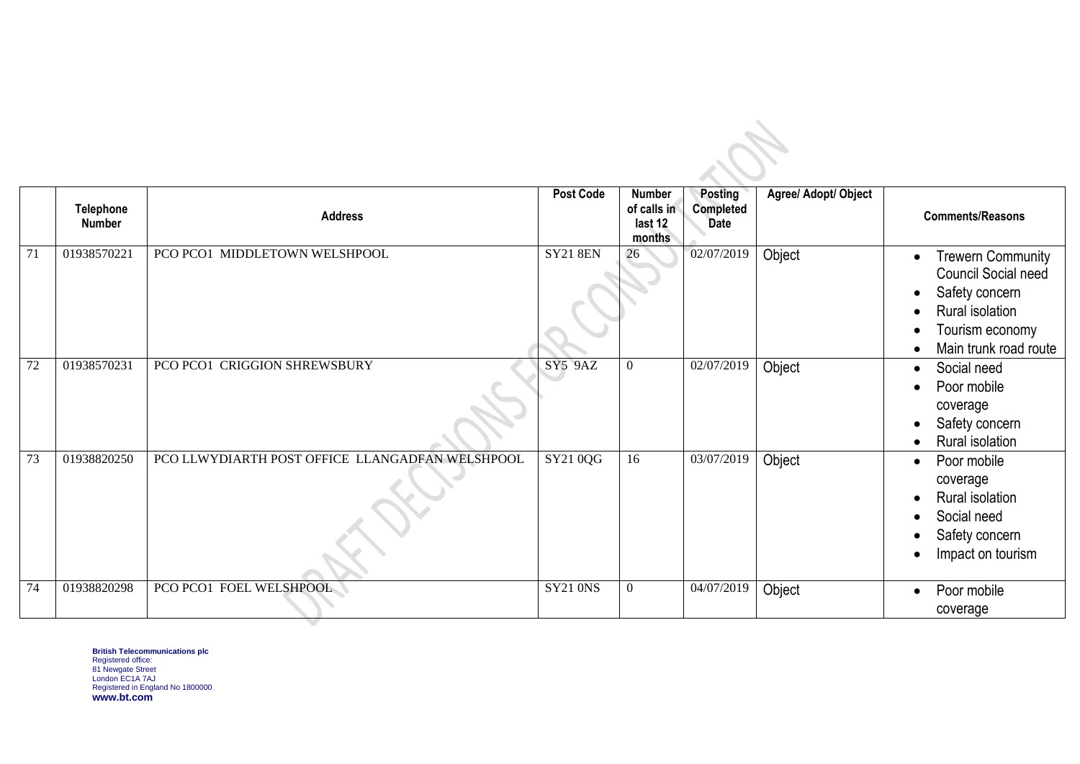|    | <b>Telephone</b><br><b>Number</b> | <b>Address</b>                                  | <b>Post Code</b> | <b>Number</b><br>of calls in<br>last 12<br>months | Posting<br><b>Completed</b><br><b>Date</b> | Agree/ Adopt/ Object | <b>Comments/Reasons</b>                                                                                                                              |
|----|-----------------------------------|-------------------------------------------------|------------------|---------------------------------------------------|--------------------------------------------|----------------------|------------------------------------------------------------------------------------------------------------------------------------------------------|
| 71 | 01938570221                       | PCO PCO1 MIDDLETOWN WELSHPOOL                   | <b>SY21 8EN</b>  | 26                                                | 02/07/2019                                 | Object               | <b>Trewern Community</b><br>$\bullet$<br><b>Council Social need</b><br>Safety concern<br>Rural isolation<br>Tourism economy<br>Main trunk road route |
| 72 | 01938570231                       | PCO PCO1 CRIGGION SHREWSBURY                    | <b>SY5 9AZ</b>   | $\overline{0}$                                    | 02/07/2019                                 | Object               | Social need<br>$\bullet$<br>Poor mobile<br>coverage<br>Safety concern<br>Rural isolation                                                             |
| 73 | 01938820250                       | PCO LLWYDIARTH POST OFFICE LLANGADFAN WELSHPOOL | SY21 0QG         | 16                                                | 03/07/2019                                 | Object               | Poor mobile<br>$\bullet$<br>coverage<br>Rural isolation<br>Social need<br>Safety concern<br>Impact on tourism                                        |
| 74 | 01938820298                       | PCO PCO1 FOEL WELSHPOOL                         | <b>SY21 0NS</b>  | $\overline{0}$                                    | 04/07/2019                                 | Object               | Poor mobile<br>coverage                                                                                                                              |

 $\mathcal{L}$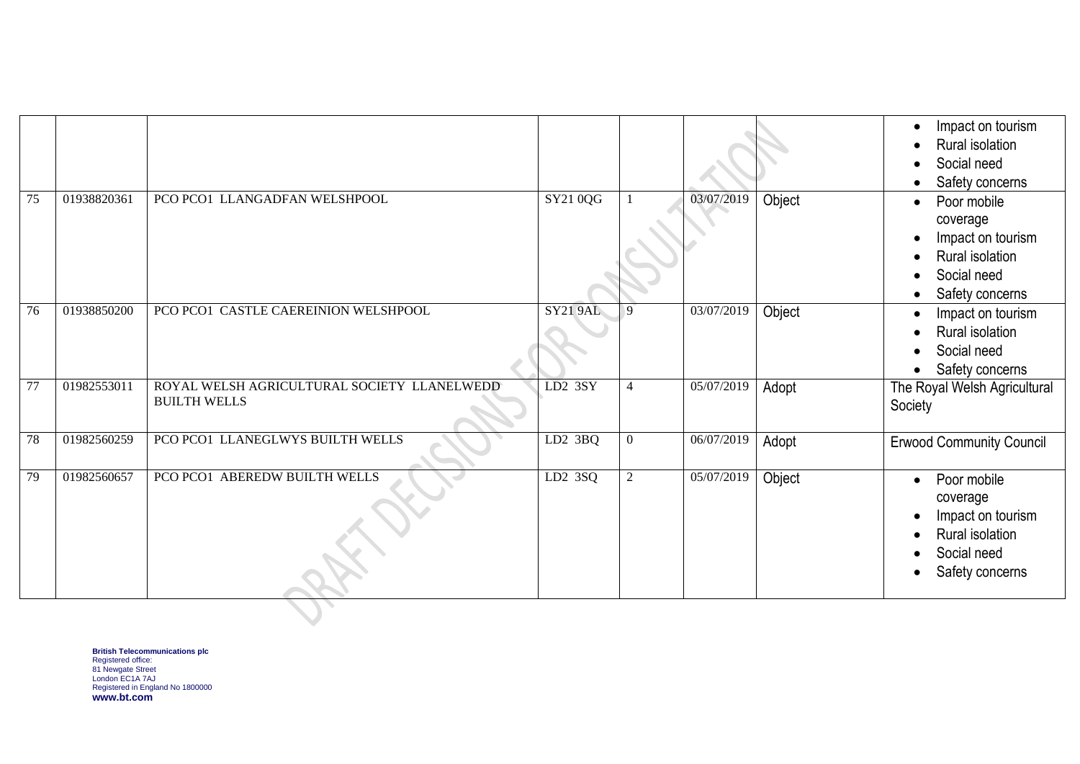|    |             |                                                                    |                             |                |            |        | Impact on tourism<br>Rural isolation<br>Social need<br>Safety concerns                                         |
|----|-------------|--------------------------------------------------------------------|-----------------------------|----------------|------------|--------|----------------------------------------------------------------------------------------------------------------|
| 75 | 01938820361 | PCO PCO1 LLANGADFAN WELSHPOOL                                      | $\overline{\text{SY210QG}}$ |                | 03/07/2019 | Object | Poor mobile<br>coverage<br>Impact on tourism<br>Rural isolation<br>Social need<br>Safety concerns              |
| 76 | 01938850200 | PCO PCO1 CASTLE CAEREINION WELSHPOOL                               | <b>SY21 9AL</b>             | $\mathbf{Q}$   | 03/07/2019 | Object | Impact on tourism<br>Rural isolation<br>Social need<br>Safety concerns                                         |
| 77 | 01982553011 | ROYAL WELSH AGRICULTURAL SOCIETY LLANELWEDD<br><b>BUILTH WELLS</b> | $LD2$ 3SY                   | 4              | 05/07/2019 | Adopt  | The Royal Welsh Agricultural<br>Society                                                                        |
| 78 | 01982560259 | PCO PCO1 LLANEGLWYS BUILTH WELLS                                   | LD2 3BQ                     | $\overline{0}$ | 06/07/2019 | Adopt  | <b>Erwood Community Council</b>                                                                                |
| 79 | 01982560657 | PCO PCO1 ABEREDW BUILTH WELLS                                      | LD2 3SQ                     | 2              | 05/07/2019 | Object | Poor mobile<br>$\bullet$<br>coverage<br>Impact on tourism<br>Rural isolation<br>Social need<br>Safety concerns |
|    |             |                                                                    |                             |                |            |        |                                                                                                                |